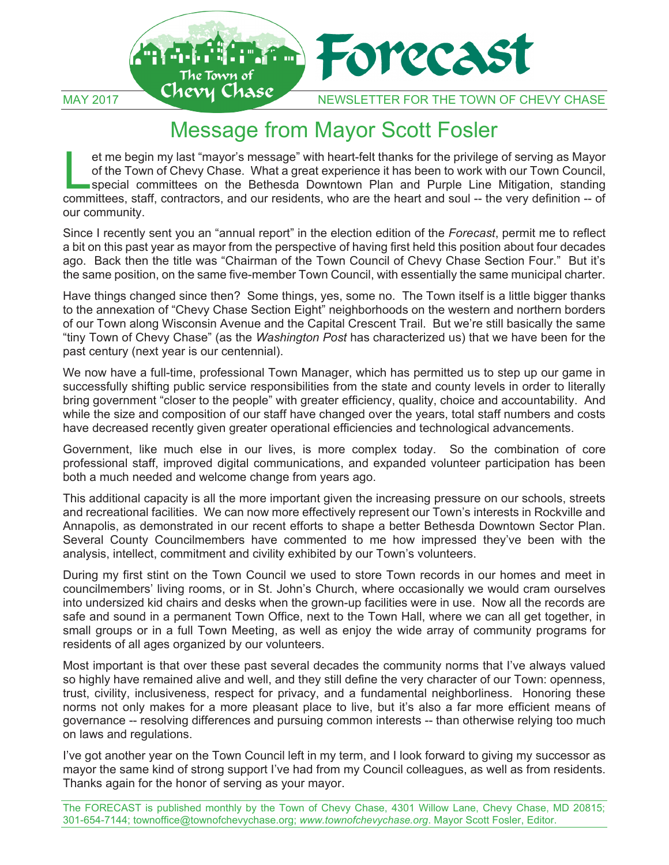

## Message from Mayor Scott Fosler

et me begin my last "mayor's message" with heart-felt thanks for the privilege of serving as Mayor of the Town of Chevy Chase. What a great experience it has been to work with our Town Council, special committees on the Bethesda Downtown Plan and Purple Line Mitigation, standing et me begin my last "mayor's message" with heart-felt thanks for the privilege of serving as Mayor<br>of the Town of Chevy Chase. What a great experience it has been to work with our Town Council,<br>special committees on the Be our community.

Since I recently sent you an "annual report" in the election edition of the *Forecast*, permit me to reflect a bit on this past year as mayor from the perspective of having first held this position about four decades ago. Back then the title was "Chairman of the Town Council of Chevy Chase Section Four." But it's the same position, on the same five-member Town Council, with essentially the same municipal charter.

Have things changed since then? Some things, yes, some no. The Town itself is a little bigger thanks to the annexation of "Chevy Chase Section Eight" neighborhoods on the western and northern borders of our Town along Wisconsin Avenue and the Capital Crescent Trail. But we're still basically the same "tiny Town of Chevy Chase" (as the *Washington Post* has characterized us) that we have been for the past century (next year is our centennial).

We now have a full-time, professional Town Manager, which has permitted us to step up our game in successfully shifting public service responsibilities from the state and county levels in order to literally bring government "closer to the people" with greater efficiency, quality, choice and accountability. And while the size and composition of our staff have changed over the years, total staff numbers and costs have decreased recently given greater operational efficiencies and technological advancements.

Government, like much else in our lives, is more complex today. So the combination of core professional staff, improved digital communications, and expanded volunteer participation has been both a much needed and welcome change from years ago.

This additional capacity is all the more important given the increasing pressure on our schools, streets and recreational facilities. We can now more effectively represent our Town's interests in Rockville and Annapolis, as demonstrated in our recent efforts to shape a better Bethesda Downtown Sector Plan. Several County Councilmembers have commented to me how impressed they've been with the analysis, intellect, commitment and civility exhibited by our Town's volunteers.

During my first stint on the Town Council we used to store Town records in our homes and meet in councilmembers' living rooms, or in St. John's Church, where occasionally we would cram ourselves into undersized kid chairs and desks when the grown-up facilities were in use. Now all the records are safe and sound in a permanent Town Office, next to the Town Hall, where we can all get together, in small groups or in a full Town Meeting, as well as enjoy the wide array of community programs for residents of all ages organized by our volunteers.

Most important is that over these past several decades the community norms that I've always valued so highly have remained alive and well, and they still define the very character of our Town: openness, trust, civility, inclusiveness, respect for privacy, and a fundamental neighborliness. Honoring these norms not only makes for a more pleasant place to live, but it's also a far more efficient means of governance -- resolving differences and pursuing common interests -- than otherwise relying too much on laws and regulations.

I've got another year on the Town Council left in my term, and I look forward to giving my successor as mayor the same kind of strong support I've had from my Council colleagues, as well as from residents. Thanks again for the honor of serving as your mayor.

The FORECAST is published monthly by the Town of Chevy Chase, 4301 Willow Lane, Chevy Chase, MD 20815; 301-654-7144; townoffice@townofchevychase.org; *www.townofchevychase.org*. Mayor Scott Fosler, Editor.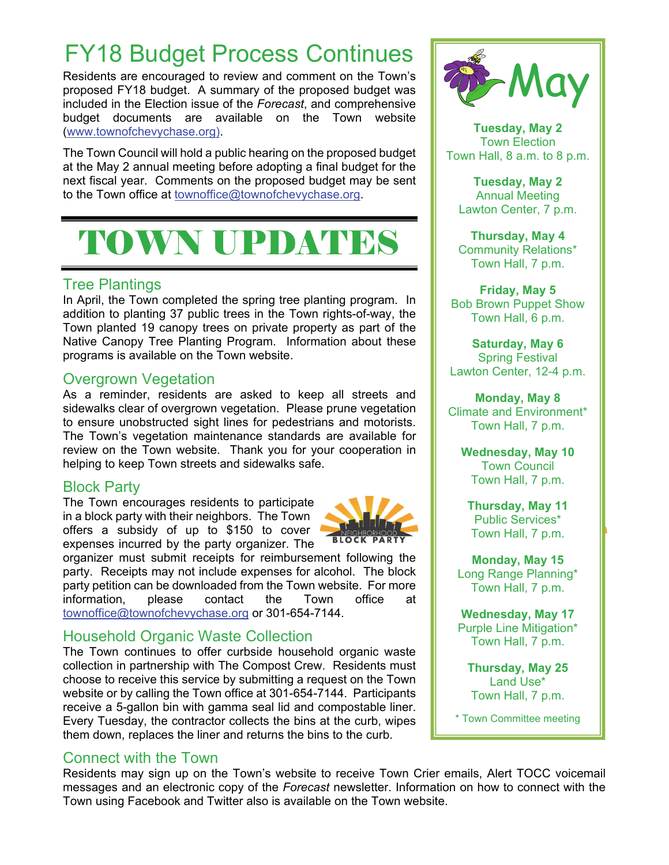## FY18 Budget Process Continues

Residents are encouraged to review and comment on the Town's proposed FY18 budget. A summary of the proposed budget was included in the Election issue of the *Forecast*, and comprehensive budget documents are available on the Town website (www.townofchevychase.org).

The Town Council will hold a public hearing on the proposed budget at the May 2 annual meeting before adopting a final budget for the next fiscal year. Comments on the proposed budget may be sent to the Town office at townoffice@townofchevychase.org.

# TOWN UPDATES

#### Tree Plantings

In April, the Town completed the spring tree planting program. In addition to planting 37 public trees in the Town rights-of-way, the Town planted 19 canopy trees on private property as part of the Native Canopy Tree Planting Program. Information about these programs is available on the Town website.

#### Overgrown Vegetation

As a reminder, residents are asked to keep all streets and sidewalks clear of overgrown vegetation. Please prune vegetation to ensure unobstructed sight lines for pedestrians and motorists. The Town's vegetation maintenance standards are available for review on the Town website. Thank you for your cooperation in helping to keep Town streets and sidewalks safe.

#### Block Party

The Town encourages residents to participate in a block party with their neighbors. The Town offers a subsidy of up to \$150 to cover expenses incurred by the party organizer. The



organizer must submit receipts for reimbursement following the party. Receipts may not include expenses for alcohol. The block party petition can be downloaded from the Town website. For more information, please contact the Town office at townoffice@townofchevychase.org or 301-654-7144.

### Household Organic Waste Collection

The Town continues to offer curbside household organic waste collection in partnership with The Compost Crew. Residents must choose to receive this service by submitting a request on the Town website or by calling the Town office at 301-654-7144. Participants receive a 5-gallon bin with gamma seal lid and compostable liner. Every Tuesday, the contractor collects the bins at the curb, wipes them down, replaces the liner and returns the bins to the curb.

### Connect with the Town

Residents may sign up on the Town's website to receive Town Crier emails, Alert TOCC voicemail messages and an electronic copy of the *Forecast* newsletter. Information on how to connect with the Town using Facebook and Twitter also is available on the Town website.



**Tuesday, May 2**  Town Election Town Hall, 8 a.m. to 8 p.m.

**Tuesday, May 2**  Annual Meeting Lawton Center, 7 p.m.

**Thursday, May 4** Community Relations\* Town Hall, 7 p.m.

**Friday, May 5** Bob Brown Puppet Show Town Hall, 6 p.m.

**Saturday, May 6**  Spring Festival Lawton Center, 12-4 p.m.

**Monday, May 8**  Climate and Environment\* Town Hall, 7 p.m.

**Wednesday, May 10**  Town Council Town Hall, 7 p.m.

**Thursday, May 11**  Public Services\* Town Hall, 7 p.m.

**Monday, May 15**  Long Range Planning\* Town Hall, 7 p.m.

**Wednesday, May 17**  Purple Line Mitigation\* Town Hall, 7 p.m.

**Thursday, May 25**  Land Use\* Town Hall, 7 p.m.

\* Town Committee meeting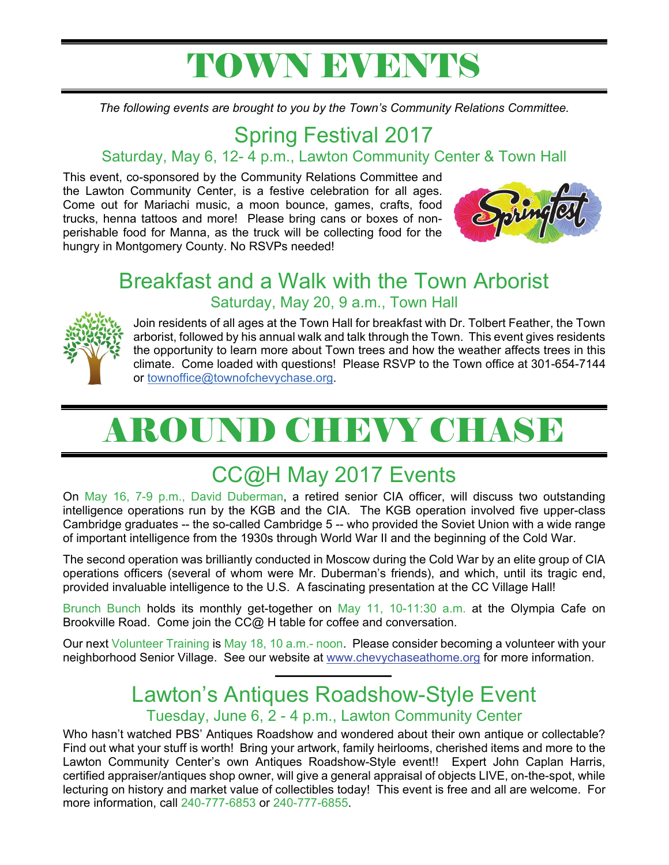## TOWN EVENTS

*The following events are brought to you by the Town's Community Relations Committee.*

## Spring Festival 2017

## Saturday, May 6, 12- 4 p.m., Lawton Community Center & Town Hall

This event, co-sponsored by the Community Relations Committee and the Lawton Community Center, is a festive celebration for all ages. Come out for Mariachi music, a moon bounce, games, crafts, food trucks, henna tattoos and more! Please bring cans or boxes of nonperishable food for Manna, as the truck will be collecting food for the hungry in Montgomery County. No RSVPs needed!



## Breakfast and a Walk with the Town Arborist Saturday, May 20, 9 a.m., Town Hall



Join residents of all ages at the Town Hall for breakfast with Dr. Tolbert Feather, the Town arborist, followed by his annual walk and talk through the Town. This event gives residents the opportunity to learn more about Town trees and how the weather affects trees in this climate. Come loaded with questions! Please RSVP to the Town office at 301-654-7144 or townoffice@townofchevychase.org.

# AROUND CHEVY CHASE

## CC@H May 2017 Events

On May 16, 7-9 p.m., David Duberman, a retired senior CIA officer, will discuss two outstanding intelligence operations run by the KGB and the CIA. The KGB operation involved five upper-class Cambridge graduates -- the so-called Cambridge 5 -- who provided the Soviet Union with a wide range of important intelligence from the 1930s through World War II and the beginning of the Cold War.

The second operation was brilliantly conducted in Moscow during the Cold War by an elite group of CIA operations officers (several of whom were Mr. Duberman's friends), and which, until its tragic end, provided invaluable intelligence to the U.S. A fascinating presentation at the CC Village Hall!

Brunch Bunch holds its monthly get-together on May 11, 10-11:30 a.m. at the Olympia Cafe on Brookville Road. Come join the CC@ H table for coffee and conversation.

Our next Volunteer Training is May 18, 10 a.m.- noon. Please consider becoming a volunteer with your neighborhood Senior Village. See our website at www.chevychaseathome.org for more information.

## Lawton's Antiques Roadshow-Style Event

#### Tuesday, June 6, 2 - 4 p.m., Lawton Community Center

Who hasn't watched PBS' Antiques Roadshow and wondered about their own antique or collectable? Find out what your stuff is worth! Bring your artwork, family heirlooms, cherished items and more to the Lawton Community Center's own Antiques Roadshow-Style event!! Expert John Caplan Harris, certified appraiser/antiques shop owner, will give a general appraisal of objects LIVE, on-the-spot, while lecturing on history and market value of collectibles today! This event is free and all are welcome. For more information, call 240-777-6853 or 240-777-6855.